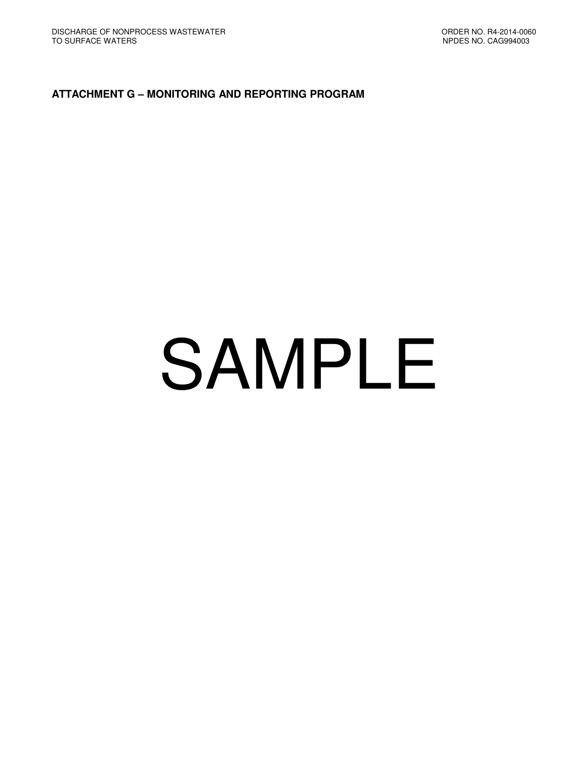## **ATTACHMENT G – MONITORING AND REPORTING PROGRAM**

# SAMPLE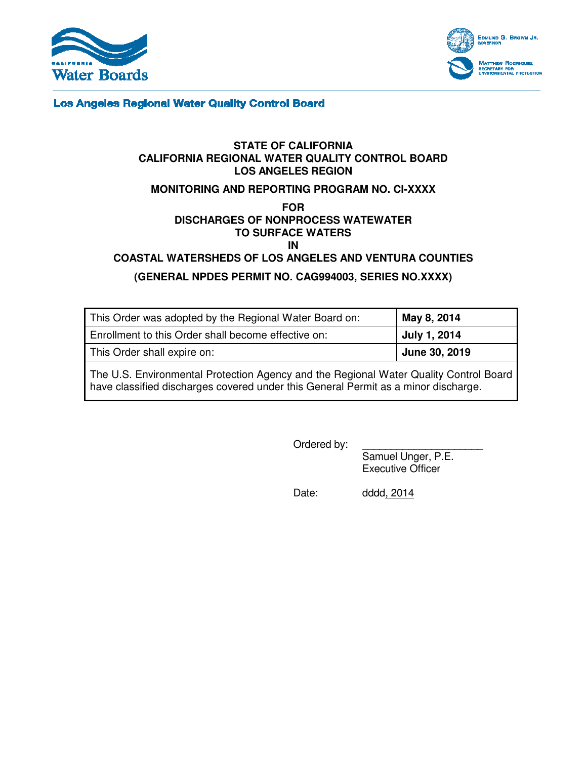



### **STATE OF CALIFORNIA CALIFORNIA REGIONAL WATER QUALITY CONTROL BOARD LOS ANGELES REGION**

## **MONITORING AND REPORTING PROGRAM NO. CI-XXXX**

#### **FOR DISCHARGES OF NONPROCESS WATEWATER TO SURFACE WATERS IN**

**COASTAL WATERSHEDS OF LOS ANGELES AND VENTURA COUNTIES**

## **(GENERAL NPDES PERMIT NO. CAG994003, SERIES NO.XXXX)**

| This Order was adopted by the Regional Water Board on: | May 8, 2014          |
|--------------------------------------------------------|----------------------|
| Enrollment to this Order shall become effective on:    | July 1, 2014         |
| This Order shall expire on:                            | <b>June 30, 2019</b> |
|                                                        |                      |

The U.S. Environmental Protection Agency and the Regional Water Quality Control Board have classified discharges covered under this General Permit as a minor discharge.

Ordered by:

 Samuel Unger, P.E. Executive Officer

Date: dddd, 2014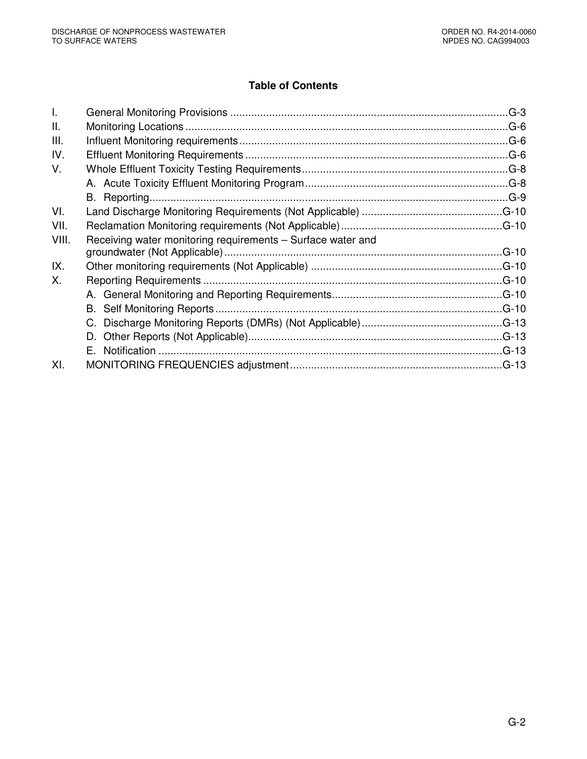# **Table of Contents**

| $\mathbf{L}$ |                                                             |  |
|--------------|-------------------------------------------------------------|--|
| ΙΙ.          |                                                             |  |
| III.         |                                                             |  |
| IV.          |                                                             |  |
| V.           |                                                             |  |
|              |                                                             |  |
|              |                                                             |  |
| VI.          |                                                             |  |
| VII.         |                                                             |  |
| VIII.        | Receiving water monitoring requirements - Surface water and |  |
|              |                                                             |  |
| IX.          |                                                             |  |
| Х.           |                                                             |  |
|              |                                                             |  |
|              |                                                             |  |
|              |                                                             |  |
|              |                                                             |  |
|              |                                                             |  |
| XI.          |                                                             |  |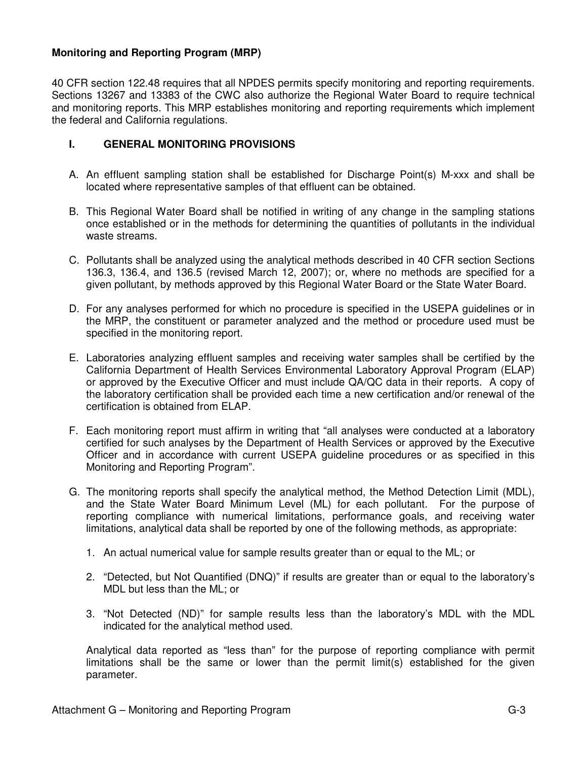## **Monitoring and Reporting Program (MRP)**

40 CFR section 122.48 requires that all NPDES permits specify monitoring and reporting requirements. Sections 13267 and 13383 of the CWC also authorize the Regional Water Board to require technical and monitoring reports. This MRP establishes monitoring and reporting requirements which implement the federal and California regulations.

#### **I. GENERAL MONITORING PROVISIONS**

- A. An effluent sampling station shall be established for Discharge Point(s) M-xxx and shall be located where representative samples of that effluent can be obtained.
- B. This Regional Water Board shall be notified in writing of any change in the sampling stations once established or in the methods for determining the quantities of pollutants in the individual waste streams.
- C. Pollutants shall be analyzed using the analytical methods described in 40 CFR section Sections 136.3, 136.4, and 136.5 (revised March 12, 2007); or, where no methods are specified for a given pollutant, by methods approved by this Regional Water Board or the State Water Board.
- D. For any analyses performed for which no procedure is specified in the USEPA guidelines or in the MRP, the constituent or parameter analyzed and the method or procedure used must be specified in the monitoring report.
- E. Laboratories analyzing effluent samples and receiving water samples shall be certified by the California Department of Health Services Environmental Laboratory Approval Program (ELAP) or approved by the Executive Officer and must include QA/QC data in their reports. A copy of the laboratory certification shall be provided each time a new certification and/or renewal of the certification is obtained from ELAP.
- F. Each monitoring report must affirm in writing that "all analyses were conducted at a laboratory certified for such analyses by the Department of Health Services or approved by the Executive Officer and in accordance with current USEPA guideline procedures or as specified in this Monitoring and Reporting Program".
- G. The monitoring reports shall specify the analytical method, the Method Detection Limit (MDL), and the State Water Board Minimum Level (ML) for each pollutant. For the purpose of reporting compliance with numerical limitations, performance goals, and receiving water limitations, analytical data shall be reported by one of the following methods, as appropriate:
	- 1. An actual numerical value for sample results greater than or equal to the ML; or
	- 2. "Detected, but Not Quantified (DNQ)" if results are greater than or equal to the laboratory's MDL but less than the ML; or
	- 3. "Not Detected (ND)" for sample results less than the laboratory's MDL with the MDL indicated for the analytical method used.

Analytical data reported as "less than" for the purpose of reporting compliance with permit limitations shall be the same or lower than the permit limit(s) established for the given parameter.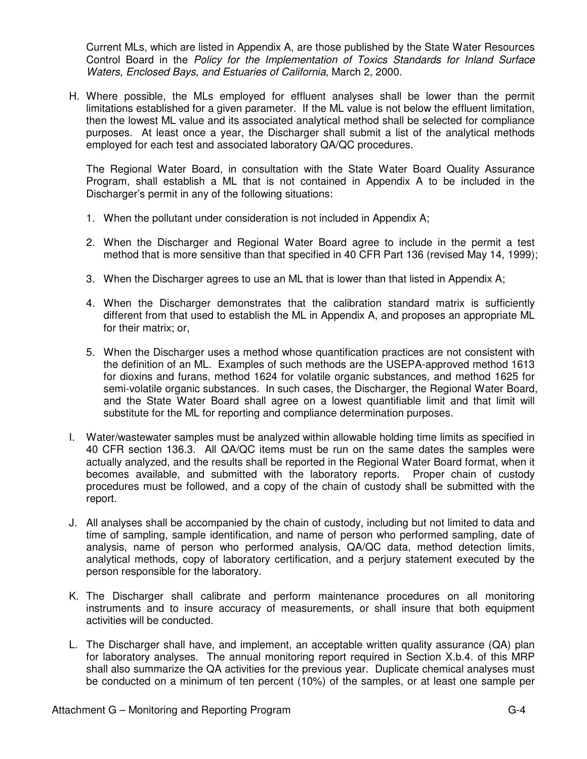Current MLs, which are listed in Appendix A, are those published by the State Water Resources Control Board in the Policy for the Implementation of Toxics Standards for Inland Surface Waters, Enclosed Bays, and Estuaries of California, March 2, 2000.

H. Where possible, the MLs employed for effluent analyses shall be lower than the permit limitations established for a given parameter. If the ML value is not below the effluent limitation, then the lowest ML value and its associated analytical method shall be selected for compliance purposes. At least once a year, the Discharger shall submit a list of the analytical methods employed for each test and associated laboratory QA/QC procedures.

The Regional Water Board, in consultation with the State Water Board Quality Assurance Program, shall establish a ML that is not contained in Appendix A to be included in the Discharger's permit in any of the following situations:

- 1. When the pollutant under consideration is not included in Appendix A;
- 2. When the Discharger and Regional Water Board agree to include in the permit a test method that is more sensitive than that specified in 40 CFR Part 136 (revised May 14, 1999);
- 3. When the Discharger agrees to use an ML that is lower than that listed in Appendix A;
- 4. When the Discharger demonstrates that the calibration standard matrix is sufficiently different from that used to establish the ML in Appendix A, and proposes an appropriate ML for their matrix; or,
- 5. When the Discharger uses a method whose quantification practices are not consistent with the definition of an ML. Examples of such methods are the USEPA-approved method 1613 for dioxins and furans, method 1624 for volatile organic substances, and method 1625 for semi-volatile organic substances. In such cases, the Discharger, the Regional Water Board, and the State Water Board shall agree on a lowest quantifiable limit and that limit will substitute for the ML for reporting and compliance determination purposes.
- I. Water/wastewater samples must be analyzed within allowable holding time limits as specified in 40 CFR section 136.3. All QA/QC items must be run on the same dates the samples were actually analyzed, and the results shall be reported in the Regional Water Board format, when it becomes available, and submitted with the laboratory reports. Proper chain of custody procedures must be followed, and a copy of the chain of custody shall be submitted with the report.
- J. All analyses shall be accompanied by the chain of custody, including but not limited to data and time of sampling, sample identification, and name of person who performed sampling, date of analysis, name of person who performed analysis, QA/QC data, method detection limits, analytical methods, copy of laboratory certification, and a perjury statement executed by the person responsible for the laboratory.
- K. The Discharger shall calibrate and perform maintenance procedures on all monitoring instruments and to insure accuracy of measurements, or shall insure that both equipment activities will be conducted.
- L. The Discharger shall have, and implement, an acceptable written quality assurance (QA) plan for laboratory analyses. The annual monitoring report required in Section X.b.4. of this MRP shall also summarize the QA activities for the previous year. Duplicate chemical analyses must be conducted on a minimum of ten percent (10%) of the samples, or at least one sample per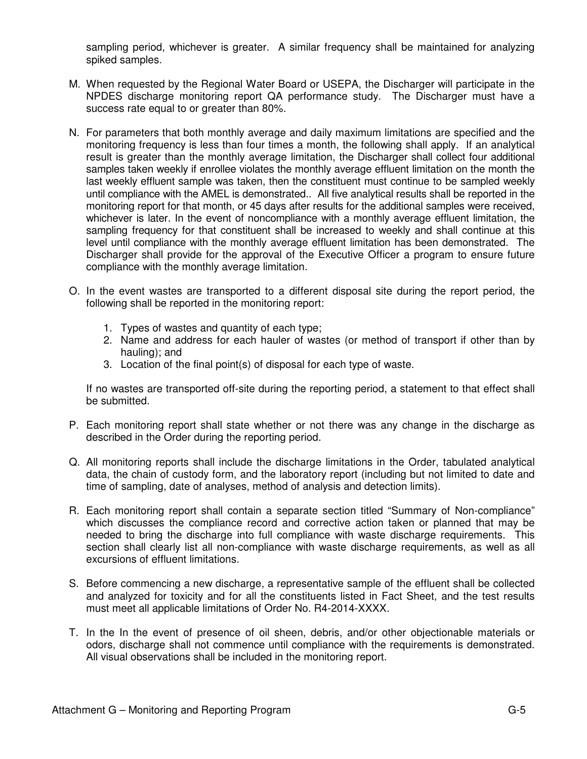sampling period, whichever is greater. A similar frequency shall be maintained for analyzing spiked samples.

- M. When requested by the Regional Water Board or USEPA, the Discharger will participate in the NPDES discharge monitoring report QA performance study. The Discharger must have a success rate equal to or greater than 80%.
- N. For parameters that both monthly average and daily maximum limitations are specified and the monitoring frequency is less than four times a month, the following shall apply. If an analytical result is greater than the monthly average limitation, the Discharger shall collect four additional samples taken weekly if enrollee violates the monthly average effluent limitation on the month the last weekly effluent sample was taken, then the constituent must continue to be sampled weekly until compliance with the AMEL is demonstrated.. All five analytical results shall be reported in the monitoring report for that month, or 45 days after results for the additional samples were received, whichever is later. In the event of noncompliance with a monthly average effluent limitation, the sampling frequency for that constituent shall be increased to weekly and shall continue at this level until compliance with the monthly average effluent limitation has been demonstrated. The Discharger shall provide for the approval of the Executive Officer a program to ensure future compliance with the monthly average limitation.
- O. In the event wastes are transported to a different disposal site during the report period, the following shall be reported in the monitoring report:
	- 1. Types of wastes and quantity of each type;
	- 2. Name and address for each hauler of wastes (or method of transport if other than by hauling); and
	- 3. Location of the final point(s) of disposal for each type of waste.

If no wastes are transported off-site during the reporting period, a statement to that effect shall be submitted.

- P. Each monitoring report shall state whether or not there was any change in the discharge as described in the Order during the reporting period.
- Q. All monitoring reports shall include the discharge limitations in the Order, tabulated analytical data, the chain of custody form, and the laboratory report (including but not limited to date and time of sampling, date of analyses, method of analysis and detection limits).
- R. Each monitoring report shall contain a separate section titled "Summary of Non-compliance" which discusses the compliance record and corrective action taken or planned that may be needed to bring the discharge into full compliance with waste discharge requirements. This section shall clearly list all non-compliance with waste discharge requirements, as well as all excursions of effluent limitations.
- S. Before commencing a new discharge, a representative sample of the effluent shall be collected and analyzed for toxicity and for all the constituents listed in Fact Sheet, and the test results must meet all applicable limitations of Order No. R4-2014-XXXX.
- T. In the In the event of presence of oil sheen, debris, and/or other objectionable materials or odors, discharge shall not commence until compliance with the requirements is demonstrated. All visual observations shall be included in the monitoring report.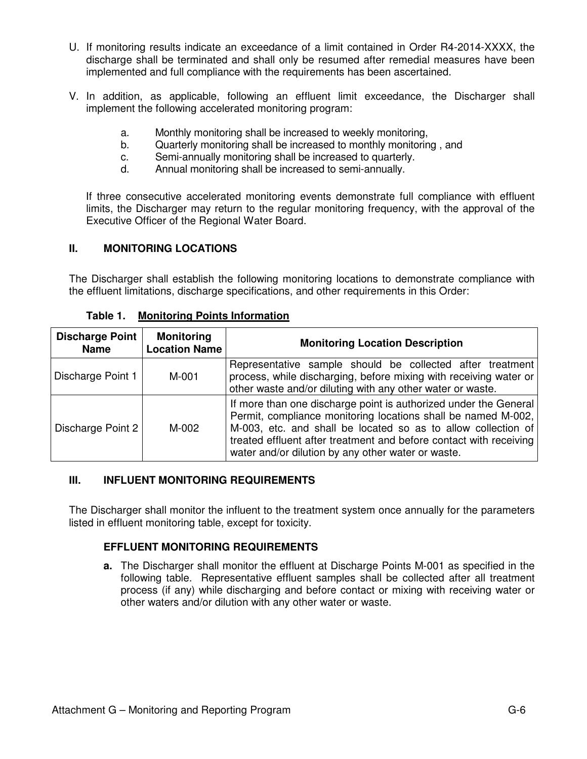- U. If monitoring results indicate an exceedance of a limit contained in Order R4-2014-XXXX, the discharge shall be terminated and shall only be resumed after remedial measures have been implemented and full compliance with the requirements has been ascertained.
- V. In addition, as applicable, following an effluent limit exceedance, the Discharger shall implement the following accelerated monitoring program:
	- a. Monthly monitoring shall be increased to weekly monitoring,
	- b. Quarterly monitoring shall be increased to monthly monitoring , and
	- c. Semi-annually monitoring shall be increased to quarterly.
	- d. Annual monitoring shall be increased to semi-annually.

If three consecutive accelerated monitoring events demonstrate full compliance with effluent limits, the Discharger may return to the regular monitoring frequency, with the approval of the Executive Officer of the Regional Water Board.

#### **II. MONITORING LOCATIONS**

The Discharger shall establish the following monitoring locations to demonstrate compliance with the effluent limitations, discharge specifications, and other requirements in this Order:

| <b>Discharge Point</b><br><b>Name</b> | <b>Monitoring</b><br><b>Location Name</b> | <b>Monitoring Location Description</b>                                                                                                                                                                                                                                                                                         |
|---------------------------------------|-------------------------------------------|--------------------------------------------------------------------------------------------------------------------------------------------------------------------------------------------------------------------------------------------------------------------------------------------------------------------------------|
| Discharge Point 1                     | M-001                                     | Representative sample should be collected after treatment<br>process, while discharging, before mixing with receiving water or<br>other waste and/or diluting with any other water or waste.                                                                                                                                   |
| Discharge Point 2                     | M-002                                     | If more than one discharge point is authorized under the General<br>Permit, compliance monitoring locations shall be named M-002,<br>M-003, etc. and shall be located so as to allow collection of<br>treated effluent after treatment and before contact with receiving<br>water and/or dilution by any other water or waste. |

#### **Table 1. Monitoring Points Information**

#### **III. INFLUENT MONITORING REQUIREMENTS**

The Discharger shall monitor the influent to the treatment system once annually for the parameters listed in effluent monitoring table, except for toxicity.

#### **EFFLUENT MONITORING REQUIREMENTS**

**a.** The Discharger shall monitor the effluent at Discharge Points M-001 as specified in the following table. Representative effluent samples shall be collected after all treatment process (if any) while discharging and before contact or mixing with receiving water or other waters and/or dilution with any other water or waste.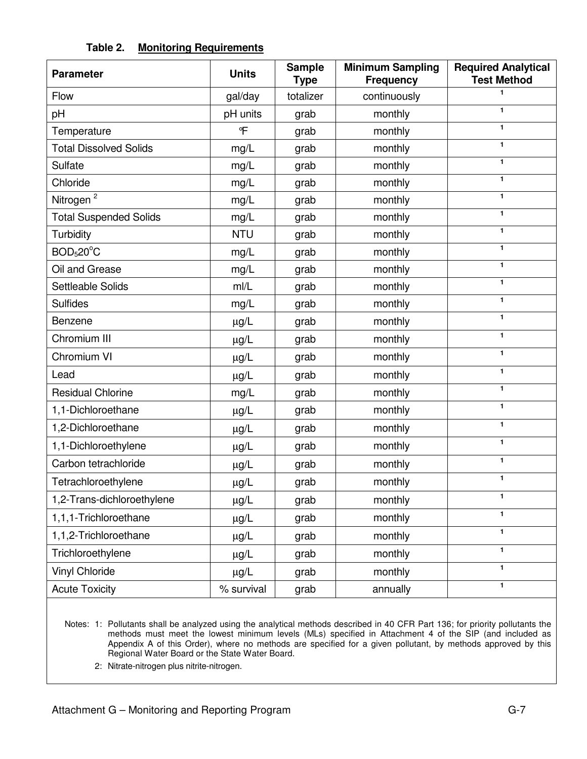| <b>Parameter</b>                   | <b>Units</b> | <b>Sample</b><br><b>Type</b> | <b>Minimum Sampling</b><br><b>Frequency</b> | <b>Required Analytical</b><br><b>Test Method</b> |
|------------------------------------|--------------|------------------------------|---------------------------------------------|--------------------------------------------------|
| Flow                               | gal/day      | totalizer                    | continuously                                | 1                                                |
| pH                                 | pH units     | grab                         | monthly                                     | 1                                                |
| Temperature                        | ℃            | grab                         | monthly                                     | $\mathbf{1}$                                     |
| <b>Total Dissolved Solids</b>      | mg/L         | grab                         | monthly                                     | 1                                                |
| Sulfate                            | mg/L         | grab                         | monthly                                     | $\mathbf{1}$                                     |
| Chloride                           | mg/L         | grab                         | monthly                                     | $\mathbf{1}$                                     |
| Nitrogen <sup>2</sup>              | mg/L         | grab                         | monthly                                     | $\mathbf{1}$                                     |
| <b>Total Suspended Solids</b>      | mg/L         | grab                         | monthly                                     | 1                                                |
| Turbidity                          | <b>NTU</b>   | grab                         | monthly                                     | $\mathbf{1}$                                     |
| BOD <sub>5</sub> 20 <sup>°</sup> C | mg/L         | grab                         | monthly                                     | 1                                                |
| Oil and Grease                     | mg/L         | grab                         | monthly                                     | $\blacksquare$                                   |
| Settleable Solids                  | m/L          | grab                         | monthly                                     | 1                                                |
| <b>Sulfides</b>                    | mg/L         | grab                         | monthly                                     | $\blacksquare$                                   |
| Benzene                            | $\mu$ g/L    | grab                         | monthly                                     | $\mathbf{1}$                                     |
| Chromium III                       | $\mu$ g/L    | grab                         | monthly                                     | $\mathbf{1}$                                     |
| Chromium VI                        | $\mu$ g/L    | grab                         | monthly                                     | $\mathbf{1}$                                     |
| Lead                               | $\mu$ g/L    | grab                         | monthly                                     | $\blacksquare$                                   |
| <b>Residual Chlorine</b>           | mg/L         | grab                         | monthly                                     | $\blacksquare$                                   |
| 1,1-Dichloroethane                 | $\mu$ g/L    | grab                         | monthly                                     | $\mathbf{1}$                                     |
| 1,2-Dichloroethane                 | $\mu$ g/L    | grab                         | monthly                                     | $\blacksquare$                                   |
| 1,1-Dichloroethylene               | $\mu g/L$    | grab                         | monthly                                     | $\blacksquare$                                   |
| Carbon tetrachloride               | $\mu$ g/L    | grab                         | monthly                                     | $\mathbf{1}$                                     |
| Tetrachloroethylene                | $\mu$ g/L    | grab                         | monthly                                     | 1                                                |
| 1,2-Trans-dichloroethylene         | $\mu$ g/L    | grab                         | monthly                                     | 1                                                |
| 1,1,1-Trichloroethane              | $\mu$ g/L    | grab                         | monthly                                     | $\mathbf{1}$                                     |
| 1,1,2-Trichloroethane              | $\mu$ g/L    | grab                         | monthly                                     | $\mathbf{1}$                                     |
| Trichloroethylene                  | $\mu$ g/L    | grab                         | monthly                                     | $\mathbf{1}$                                     |
| <b>Vinyl Chloride</b>              | $\mu$ g/L    | grab                         | monthly                                     | $\blacksquare$                                   |
| <b>Acute Toxicity</b>              | % survival   | grab                         | annually                                    | $\mathbf{1}$                                     |

**Table 2. Monitoring Requirements** 

Notes: 1: Pollutants shall be analyzed using the analytical methods described in 40 CFR Part 136; for priority pollutants the methods must meet the lowest minimum levels (MLs) specified in Attachment 4 of the SIP (and included as Appendix A of this Order), where no methods are specified for a given pollutant, by methods approved by this Regional Water Board or the State Water Board.

2: Nitrate-nitrogen plus nitrite-nitrogen.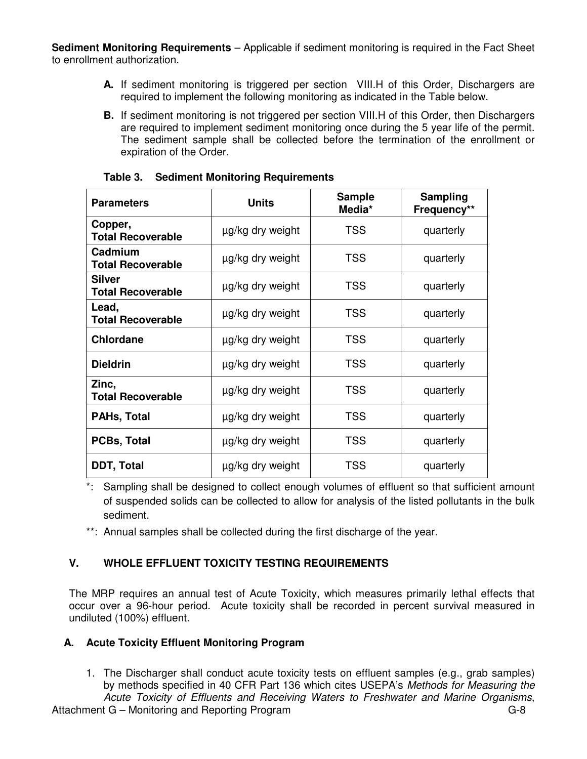**Sediment Monitoring Requirements** – Applicable if sediment monitoring is required in the Fact Sheet to enrollment authorization.

- **A.** If sediment monitoring is triggered per section VIII.H of this Order, Dischargers are required to implement the following monitoring as indicated in the Table below.
- **B.** If sediment monitoring is not triggered per section VIII.H of this Order, then Dischargers are required to implement sediment monitoring once during the 5 year life of the permit. The sediment sample shall be collected before the termination of the enrollment or expiration of the Order.

| <b>Parameters</b>                   | <b>Units</b>     | <b>Sample</b><br>Media* | <b>Sampling</b><br>Frequency** |
|-------------------------------------|------------------|-------------------------|--------------------------------|
| Copper,<br><b>Total Recoverable</b> | µg/kg dry weight | <b>TSS</b>              | quarterly                      |
| Cadmium<br><b>Total Recoverable</b> | ug/kg dry weight | <b>TSS</b>              | quarterly                      |
| Silver<br><b>Total Recoverable</b>  | µg/kg dry weight | <b>TSS</b>              | quarterly                      |
| Lead,<br><b>Total Recoverable</b>   | ug/kg dry weight | <b>TSS</b>              | quarterly                      |
| <b>Chlordane</b>                    | µg/kg dry weight | <b>TSS</b>              | quarterly                      |
| <b>Dieldrin</b>                     | µg/kg dry weight | <b>TSS</b>              | quarterly                      |
| Zinc,<br><b>Total Recoverable</b>   | ug/kg dry weight | <b>TSS</b>              | quarterly                      |
| PAHs, Total                         | ug/kg dry weight | <b>TSS</b>              | quarterly                      |
| <b>PCBs, Total</b>                  | µg/kg dry weight | <b>TSS</b>              | quarterly                      |
| <b>DDT, Total</b>                   | ug/kg dry weight | <b>TSS</b>              | quarterly                      |

**Table 3. Sediment Monitoring Requirements** 

\*: Sampling shall be designed to collect enough volumes of effluent so that sufficient amount of suspended solids can be collected to allow for analysis of the listed pollutants in the bulk sediment.

\*\*: Annual samples shall be collected during the first discharge of the year.

## **V. WHOLE EFFLUENT TOXICITY TESTING REQUIREMENTS**

The MRP requires an annual test of Acute Toxicity, which measures primarily lethal effects that occur over a 96-hour period. Acute toxicity shall be recorded in percent survival measured in undiluted (100%) effluent.

## **A. Acute Toxicity Effluent Monitoring Program**

1. The Discharger shall conduct acute toxicity tests on effluent samples (e.g., grab samples) by methods specified in 40 CFR Part 136 which cites USEPA's Methods for Measuring the Acute Toxicity of Effluents and Receiving Waters to Freshwater and Marine Organisms,

Attachment G – Monitoring and Reporting Program G-8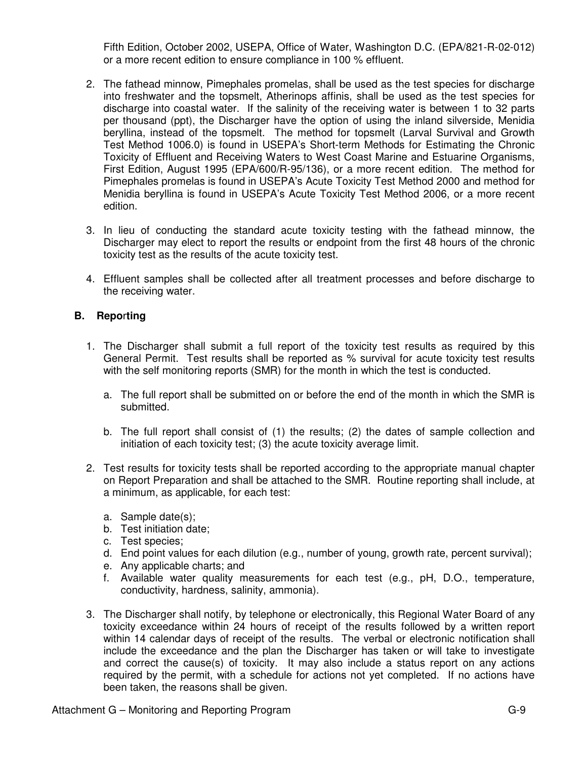Fifth Edition, October 2002, USEPA, Office of Water, Washington D.C. (EPA/821-R-02-012) or a more recent edition to ensure compliance in 100 % effluent.

- 2. The fathead minnow, Pimephales promelas, shall be used as the test species for discharge into freshwater and the topsmelt, Atherinops affinis, shall be used as the test species for discharge into coastal water. If the salinity of the receiving water is between 1 to 32 parts per thousand (ppt), the Discharger have the option of using the inland silverside, Menidia beryllina, instead of the topsmelt. The method for topsmelt (Larval Survival and Growth Test Method 1006.0) is found in USEPA's Short-term Methods for Estimating the Chronic Toxicity of Effluent and Receiving Waters to West Coast Marine and Estuarine Organisms, First Edition, August 1995 (EPA/600/R-95/136), or a more recent edition. The method for Pimephales promelas is found in USEPA's Acute Toxicity Test Method 2000 and method for Menidia beryllina is found in USEPA's Acute Toxicity Test Method 2006, or a more recent edition.
- 3. In lieu of conducting the standard acute toxicity testing with the fathead minnow, the Discharger may elect to report the results or endpoint from the first 48 hours of the chronic toxicity test as the results of the acute toxicity test.
- 4. Effluent samples shall be collected after all treatment processes and before discharge to the receiving water.

#### **B. Repo**r**ting**

- 1. The Discharger shall submit a full report of the toxicity test results as required by this General Permit. Test results shall be reported as % survival for acute toxicity test results with the self monitoring reports (SMR) for the month in which the test is conducted.
	- a. The full report shall be submitted on or before the end of the month in which the SMR is submitted.
	- b. The full report shall consist of (1) the results; (2) the dates of sample collection and initiation of each toxicity test; (3) the acute toxicity average limit.
- 2. Test results for toxicity tests shall be reported according to the appropriate manual chapter on Report Preparation and shall be attached to the SMR. Routine reporting shall include, at a minimum, as applicable, for each test:
	- a. Sample date(s);
	- b. Test initiation date;
	- c. Test species;
	- d. End point values for each dilution (e.g., number of young, growth rate, percent survival);
	- e. Any applicable charts; and
	- f. Available water quality measurements for each test (e.g., pH, D.O., temperature, conductivity, hardness, salinity, ammonia).
- 3. The Discharger shall notify, by telephone or electronically, this Regional Water Board of any toxicity exceedance within 24 hours of receipt of the results followed by a written report within 14 calendar days of receipt of the results. The verbal or electronic notification shall include the exceedance and the plan the Discharger has taken or will take to investigate and correct the cause(s) of toxicity. It may also include a status report on any actions required by the permit, with a schedule for actions not yet completed. If no actions have been taken, the reasons shall be given.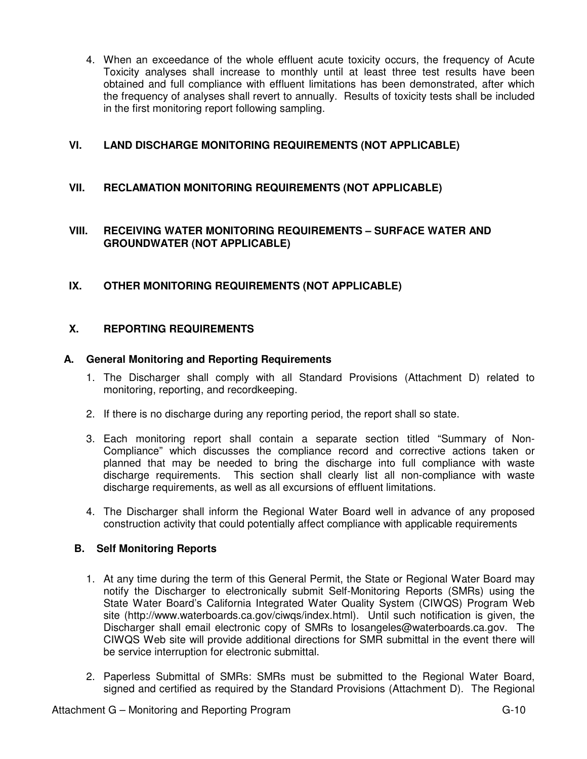4. When an exceedance of the whole effluent acute toxicity occurs, the frequency of Acute Toxicity analyses shall increase to monthly until at least three test results have been obtained and full compliance with effluent limitations has been demonstrated, after which the frequency of analyses shall revert to annually. Results of toxicity tests shall be included in the first monitoring report following sampling.

## **VI. LAND DISCHARGE MONITORING REQUIREMENTS (NOT APPLICABLE)**

#### **VII. RECLAMATION MONITORING REQUIREMENTS (NOT APPLICABLE)**

## **VIII. RECEIVING WATER MONITORING REQUIREMENTS – SURFACE WATER AND GROUNDWATER (NOT APPLICABLE)**

#### **IX. OTHER MONITORING REQUIREMENTS (NOT APPLICABLE)**

## **X. REPORTING REQUIREMENTS**

#### **A. General Monitoring and Reporting Requirements**

- 1. The Discharger shall comply with all Standard Provisions (Attachment D) related to monitoring, reporting, and recordkeeping.
- 2. If there is no discharge during any reporting period, the report shall so state.
- 3. Each monitoring report shall contain a separate section titled "Summary of Non-Compliance" which discusses the compliance record and corrective actions taken or planned that may be needed to bring the discharge into full compliance with waste discharge requirements. This section shall clearly list all non-compliance with waste discharge requirements, as well as all excursions of effluent limitations.
- 4. The Discharger shall inform the Regional Water Board well in advance of any proposed construction activity that could potentially affect compliance with applicable requirements

#### **B. Self Monitoring Reports**

- 1. At any time during the term of this General Permit, the State or Regional Water Board may notify the Discharger to electronically submit Self-Monitoring Reports (SMRs) using the State Water Board's California Integrated Water Quality System (CIWQS) Program Web site (http://www.waterboards.ca.gov/ciwqs/index.html). Until such notification is given, the Discharger shall email electronic copy of SMRs to losangeles@waterboards.ca.gov. The CIWQS Web site will provide additional directions for SMR submittal in the event there will be service interruption for electronic submittal.
- 2. Paperless Submittal of SMRs: SMRs must be submitted to the Regional Water Board, signed and certified as required by the Standard Provisions (Attachment D). The Regional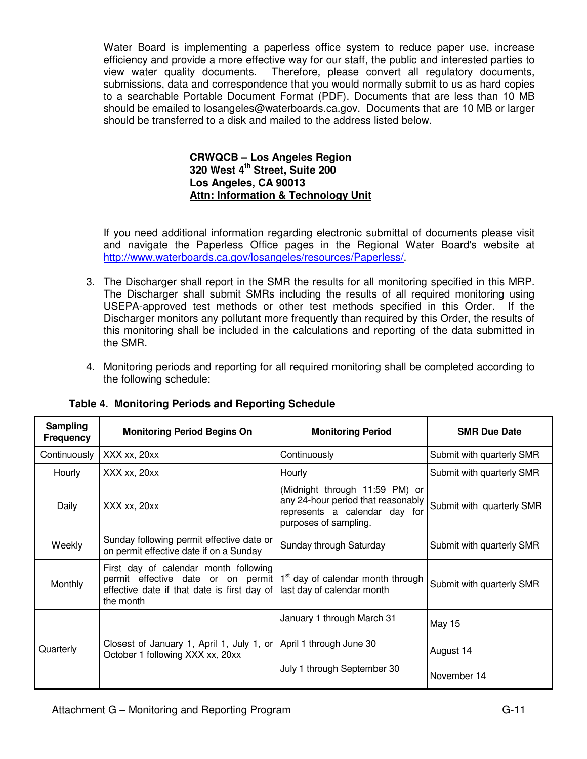Water Board is implementing a paperless office system to reduce paper use, increase efficiency and provide a more effective way for our staff, the public and interested parties to view water quality documents. Therefore, please convert all regulatory documents, submissions, data and correspondence that you would normally submit to us as hard copies to a searchable Portable Document Format (PDF). Documents that are less than 10 MB should be emailed to losangeles@waterboards.ca.gov. Documents that are 10 MB or larger should be transferred to a disk and mailed to the address listed below.

## **CRWQCB – Los Angeles Region 320 West 4th Street, Suite 200 Los Angeles, CA 90013 Attn: Information & Technology Unit**

If you need additional information regarding electronic submittal of documents please visit and navigate the Paperless Office pages in the Regional Water Board's website at http://www.waterboards.ca.gov/losangeles/resources/Paperless/.

- 3. The Discharger shall report in the SMR the results for all monitoring specified in this MRP. The Discharger shall submit SMRs including the results of all required monitoring using USEPA-approved test methods or other test methods specified in this Order. If the Discharger monitors any pollutant more frequently than required by this Order, the results of this monitoring shall be included in the calculations and reporting of the data submitted in the SMR.
- 4. Monitoring periods and reporting for all required monitoring shall be completed according to the following schedule:

| <b>Sampling</b><br><b>Frequency</b> | <b>Monitoring Period Begins On</b>                                                                                                      | <b>Monitoring Period</b>                                                                                                       | <b>SMR Due Date</b>       |
|-------------------------------------|-----------------------------------------------------------------------------------------------------------------------------------------|--------------------------------------------------------------------------------------------------------------------------------|---------------------------|
| Continuously                        | XXX xx, 20xx                                                                                                                            | Continuously                                                                                                                   | Submit with quarterly SMR |
| Hourly                              | XXX xx, 20xx                                                                                                                            | Hourly                                                                                                                         | Submit with quarterly SMR |
| Daily                               | XXX xx, 20xx                                                                                                                            | (Midnight through 11:59 PM) or<br>any 24-hour period that reasonably<br>represents a calendar day for<br>purposes of sampling. | Submit with quarterly SMR |
| Weekly                              | Sunday following permit effective date or<br>on permit effective date if on a Sunday                                                    | Sunday through Saturday                                                                                                        | Submit with quarterly SMR |
| Monthly                             | First day of calendar month following<br>permit effective date or on permit<br>effective date if that date is first day of<br>the month | 1 <sup>st</sup> day of calendar month through<br>last day of calendar month                                                    | Submit with quarterly SMR |
|                                     |                                                                                                                                         | January 1 through March 31                                                                                                     | May 15                    |
| Quarterly                           | Closest of January 1, April 1, July 1, or<br>October 1 following XXX xx, 20xx                                                           | April 1 through June 30                                                                                                        | August 14                 |
|                                     |                                                                                                                                         | July 1 through September 30                                                                                                    | November 14               |

**Table 4. Monitoring Periods and Reporting Schedule**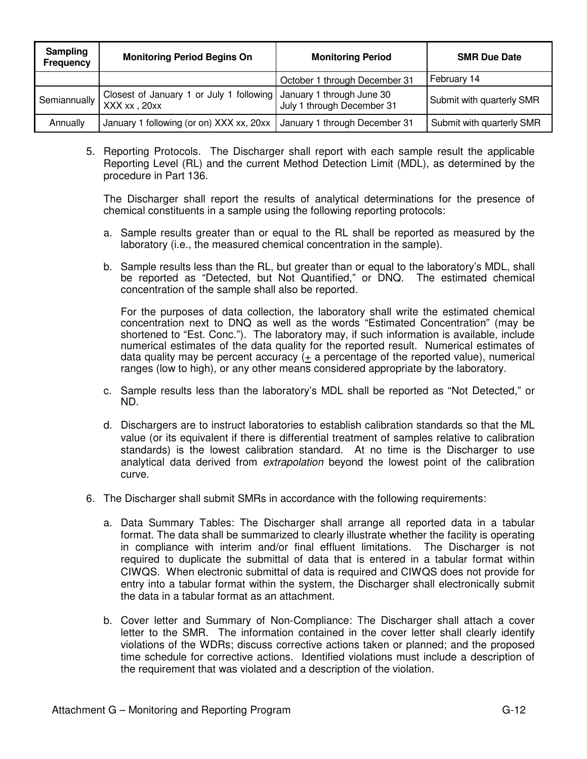| Sampling<br><b>Frequency</b> | <b>Monitoring Period Begins On</b>                                                   | <b>Monitoring Period</b>      | <b>SMR Due Date</b>       |
|------------------------------|--------------------------------------------------------------------------------------|-------------------------------|---------------------------|
|                              |                                                                                      | October 1 through December 31 | February 14               |
| Semiannually                 | Closest of January 1 or July 1 following   January 1 through June 30<br>XXX xx, 20xx | July 1 through December 31    | Submit with quarterly SMR |
| Annually                     | January 1 following (or on) XXX xx, 20xx                                             | January 1 through December 31 | Submit with quarterly SMR |

5. Reporting Protocols. The Discharger shall report with each sample result the applicable Reporting Level (RL) and the current Method Detection Limit (MDL), as determined by the procedure in Part 136.

The Discharger shall report the results of analytical determinations for the presence of chemical constituents in a sample using the following reporting protocols:

- a. Sample results greater than or equal to the RL shall be reported as measured by the laboratory (i.e., the measured chemical concentration in the sample).
- b. Sample results less than the RL, but greater than or equal to the laboratory's MDL, shall be reported as "Detected, but Not Quantified," or DNQ. The estimated chemical concentration of the sample shall also be reported.

For the purposes of data collection, the laboratory shall write the estimated chemical concentration next to DNQ as well as the words "Estimated Concentration" (may be shortened to "Est. Conc."). The laboratory may, if such information is available, include numerical estimates of the data quality for the reported result. Numerical estimates of data quality may be percent accuracy  $(\pm a)$  percentage of the reported value), numerical ranges (low to high), or any other means considered appropriate by the laboratory.

- c. Sample results less than the laboratory's MDL shall be reported as "Not Detected," or ND.
- d. Dischargers are to instruct laboratories to establish calibration standards so that the ML value (or its equivalent if there is differential treatment of samples relative to calibration standards) is the lowest calibration standard. At no time is the Discharger to use analytical data derived from *extrapolation* beyond the lowest point of the calibration curve.
- 6. The Discharger shall submit SMRs in accordance with the following requirements:
	- a. Data Summary Tables: The Discharger shall arrange all reported data in a tabular format. The data shall be summarized to clearly illustrate whether the facility is operating in compliance with interim and/or final effluent limitations. The Discharger is not required to duplicate the submittal of data that is entered in a tabular format within CIWQS. When electronic submittal of data is required and CIWQS does not provide for entry into a tabular format within the system, the Discharger shall electronically submit the data in a tabular format as an attachment.
	- b. Cover letter and Summary of Non-Compliance: The Discharger shall attach a cover letter to the SMR. The information contained in the cover letter shall clearly identify violations of the WDRs; discuss corrective actions taken or planned; and the proposed time schedule for corrective actions. Identified violations must include a description of the requirement that was violated and a description of the violation.